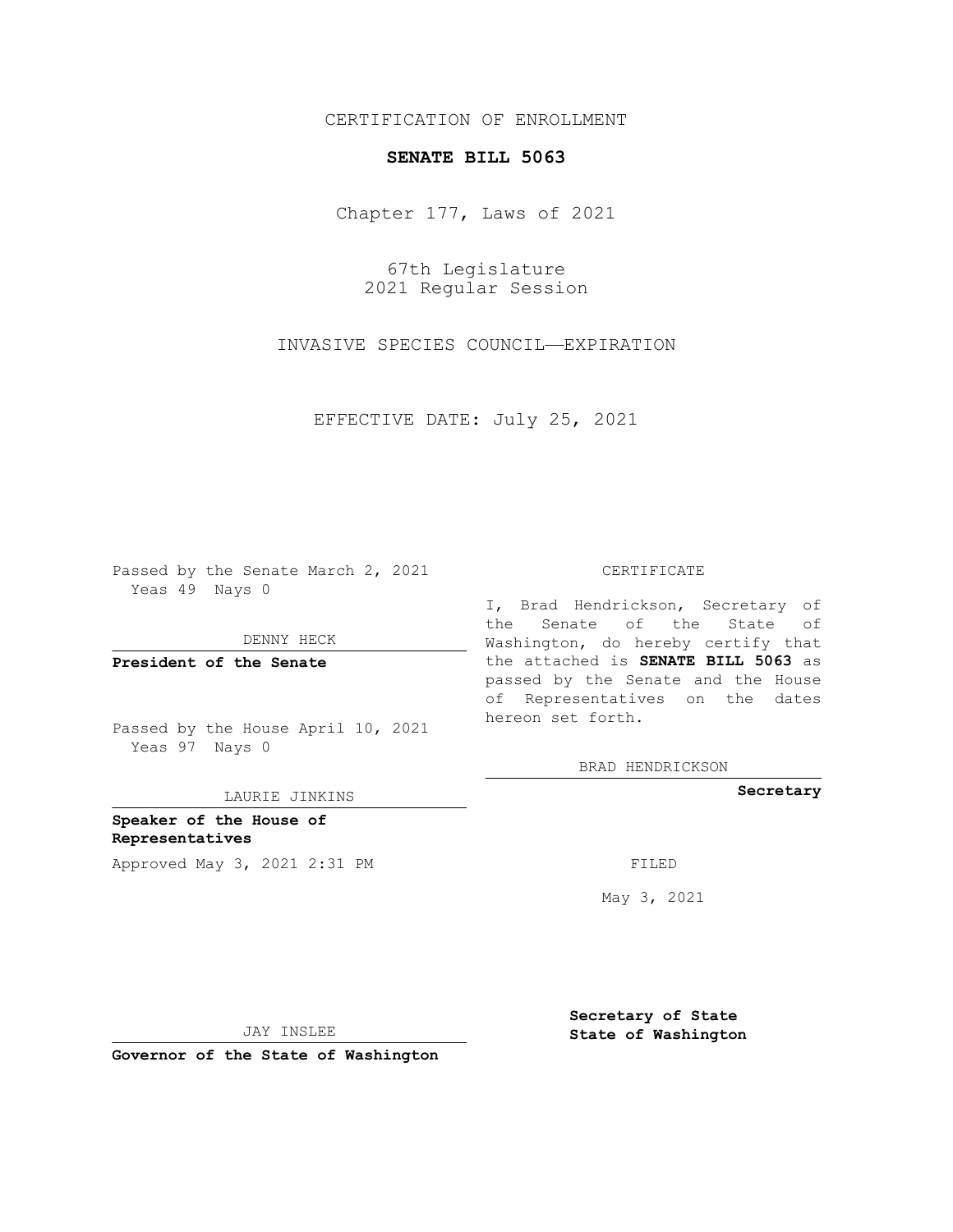## CERTIFICATION OF ENROLLMENT

## **SENATE BILL 5063**

Chapter 177, Laws of 2021

67th Legislature 2021 Regular Session

INVASIVE SPECIES COUNCIL—EXPIRATION

EFFECTIVE DATE: July 25, 2021

Passed by the Senate March 2, 2021 Yeas 49 Nays 0

DENNY HECK

**President of the Senate**

Passed by the House April 10, 2021 Yeas 97 Nays 0

LAURIE JINKINS

**Speaker of the House of Representatives** Approved May 3, 2021 2:31 PM FILED

## CERTIFICATE

I, Brad Hendrickson, Secretary of the Senate of the State of Washington, do hereby certify that the attached is **SENATE BILL 5063** as passed by the Senate and the House of Representatives on the dates hereon set forth.

BRAD HENDRICKSON

**Secretary**

May 3, 2021

JAY INSLEE

**Governor of the State of Washington**

**Secretary of State State of Washington**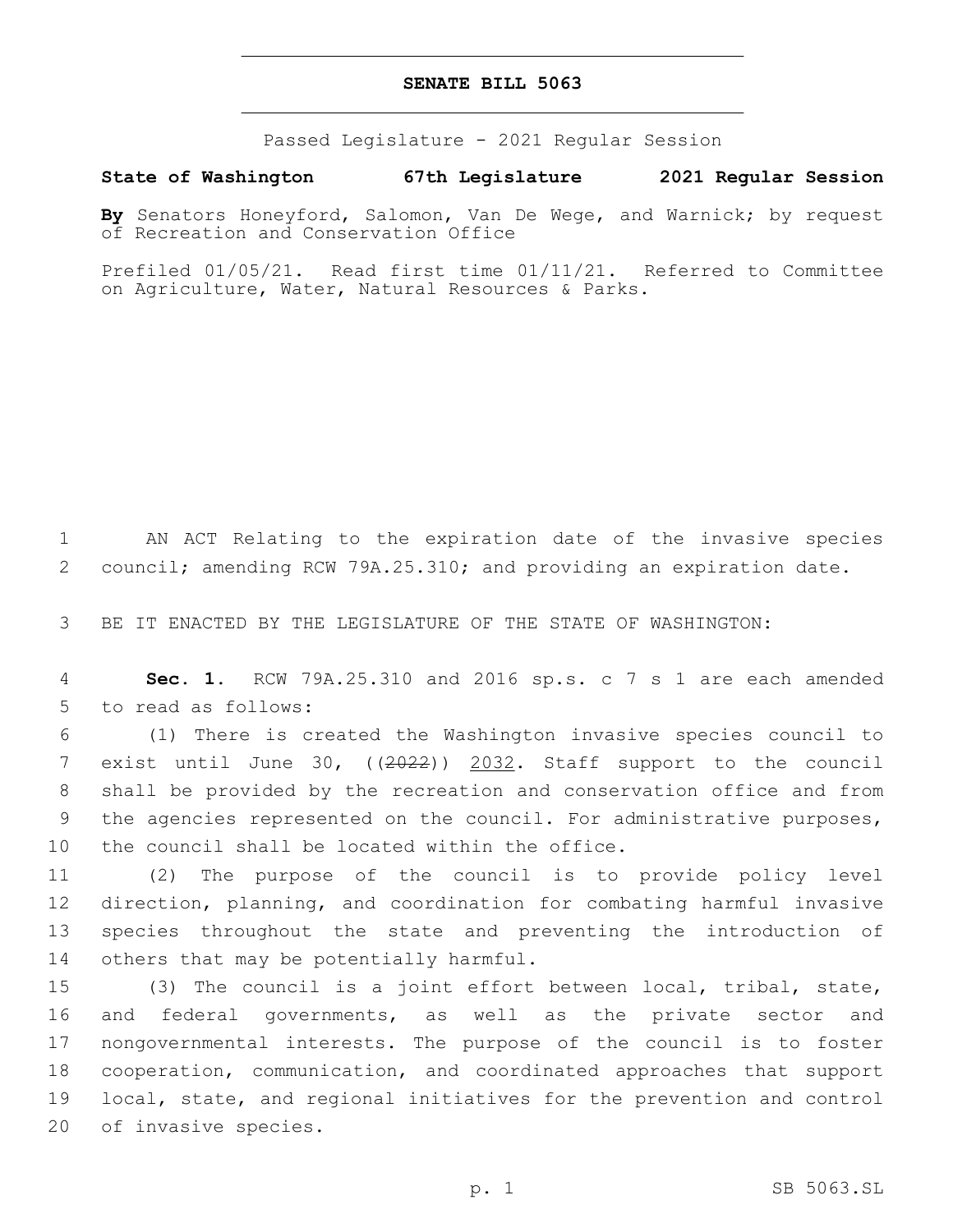## **SENATE BILL 5063**

Passed Legislature - 2021 Regular Session

**State of Washington 67th Legislature 2021 Regular Session**

**By** Senators Honeyford, Salomon, Van De Wege, and Warnick; by request of Recreation and Conservation Office

Prefiled 01/05/21. Read first time 01/11/21. Referred to Committee on Agriculture, Water, Natural Resources & Parks.

1 AN ACT Relating to the expiration date of the invasive species 2 council; amending RCW 79A.25.310; and providing an expiration date.

3 BE IT ENACTED BY THE LEGISLATURE OF THE STATE OF WASHINGTON:

4 **Sec. 1.** RCW 79A.25.310 and 2016 sp.s. c 7 s 1 are each amended 5 to read as follows:

 (1) There is created the Washington invasive species council to exist until June 30, ((2022)) 2032. Staff support to the council shall be provided by the recreation and conservation office and from the agencies represented on the council. For administrative purposes, 10 the council shall be located within the office.

 (2) The purpose of the council is to provide policy level direction, planning, and coordination for combating harmful invasive species throughout the state and preventing the introduction of 14 others that may be potentially harmful.

 (3) The council is a joint effort between local, tribal, state, and federal governments, as well as the private sector and nongovernmental interests. The purpose of the council is to foster cooperation, communication, and coordinated approaches that support local, state, and regional initiatives for the prevention and control 20 of invasive species.